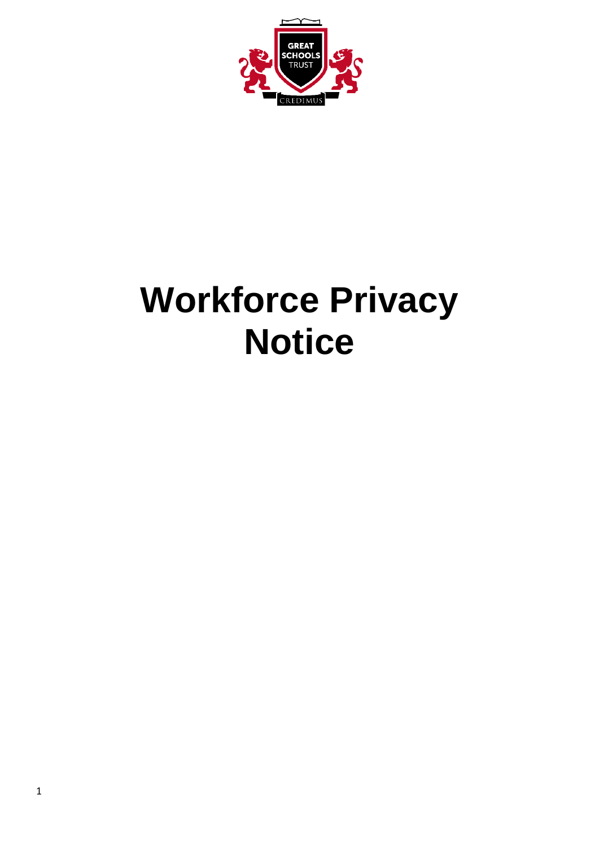

# **Workforce Privacy Notice**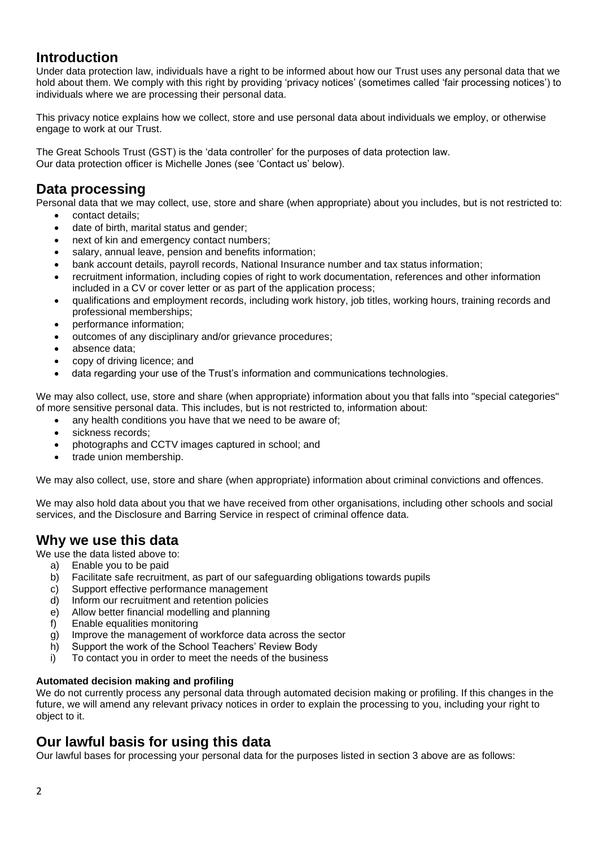## **Introduction**

Under data protection law, individuals have a right to be informed about how our Trust uses any personal data that we hold about them. We comply with this right by providing 'privacy notices' (sometimes called 'fair processing notices') to individuals where we are processing their personal data.

This privacy notice explains how we collect, store and use personal data about individuals we employ, or otherwise engage to work at our Trust.

The Great Schools Trust (GST) is the 'data controller' for the purposes of data protection law. Our data protection officer is Michelle Jones (see 'Contact us' below).

## **Data processing**

Personal data that we may collect, use, store and share (when appropriate) about you includes, but is not restricted to:

- contact details;
- date of birth, marital status and gender;
- next of kin and emergency contact numbers;
- salary, annual leave, pension and benefits information;
- bank account details, payroll records, National Insurance number and tax status information;
- recruitment information, including copies of right to work documentation, references and other information included in a CV or cover letter or as part of the application process;
- qualifications and employment records, including work history, job titles, working hours, training records and professional memberships;
- performance information;
- outcomes of any disciplinary and/or grievance procedures;
- absence data;
- copy of driving licence; and
- data regarding your use of the Trust's information and communications technologies.

We may also collect, use, store and share (when appropriate) information about you that falls into "special categories" of more sensitive personal data. This includes, but is not restricted to, information about:

- any health conditions you have that we need to be aware of;
- sickness records:
- photographs and CCTV images captured in school; and
- trade union membership.

We may also collect, use, store and share (when appropriate) information about criminal convictions and offences.

We may also hold data about you that we have received from other organisations, including other schools and social services, and the Disclosure and Barring Service in respect of criminal offence data.

# **Why we use this data**

We use the data listed above to:

- a) Enable you to be paid
- b) Facilitate safe recruitment, as part of our safeguarding obligations towards pupils
- c) Support effective performance management
- d) Inform our recruitment and retention policies
- e) Allow better financial modelling and planning
- f) Enable equalities monitoring
- g) Improve the management of workforce data across the sector
- h) Support the work of the School Teachers' Review Body
- i) To contact you in order to meet the needs of the business

#### **Automated decision making and profiling**

We do not currently process any personal data through automated decision making or profiling. If this changes in the future, we will amend any relevant privacy notices in order to explain the processing to you, including your right to object to it.

## **Our lawful basis for using this data**

Our lawful bases for processing your personal data for the purposes listed in section 3 above are as follows: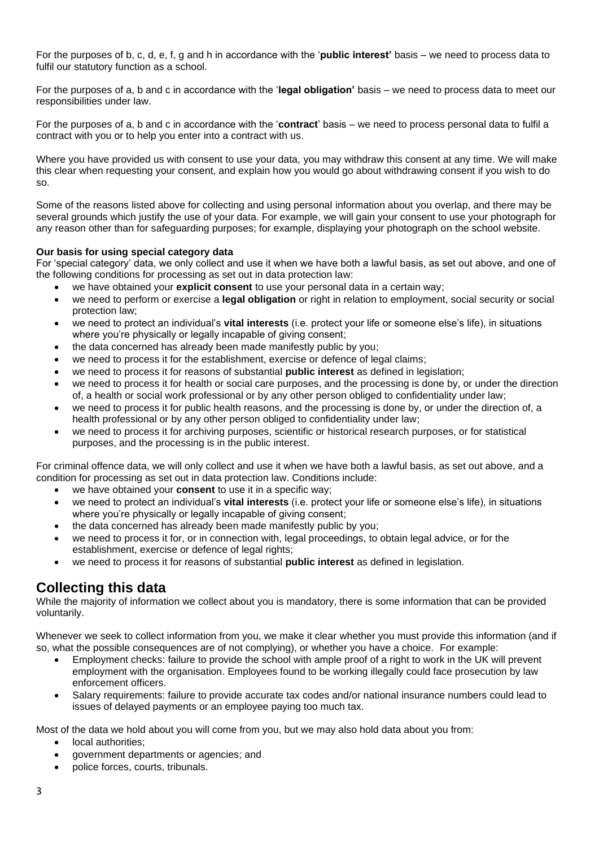For the purposes of b, c, d, e, f, g and h in accordance with the '**public interest'** basis – we need to process data to fulfil our statutory function as a school.

For the purposes of a, b and c in accordance with the '**legal obligation'** basis – we need to process data to meet our responsibilities under law.

For the purposes of a, b and c in accordance with the '**contract**' basis – we need to process personal data to fulfil a contract with you or to help you enter into a contract with us.

Where you have provided us with consent to use your data, you may withdraw this consent at any time. We will make this clear when requesting your consent, and explain how you would go about withdrawing consent if you wish to do so.

Some of the reasons listed above for collecting and using personal information about you overlap, and there may be several grounds which justify the use of your data. For example, we will gain your consent to use your photograph for any reason other than for safeguarding purposes; for example, displaying your photograph on the school website.

#### **Our basis for using special category data**

For 'special category' data, we only collect and use it when we have both a lawful basis, as set out above, and one of the following conditions for processing as set out in data protection law:

- we have obtained your **explicit consent** to use your personal data in a certain way;
- we need to perform or exercise a **legal obligation** or right in relation to employment, social security or social protection law;
- we need to protect an individual's **vital interests** (i.e. protect your life or someone else's life), in situations where you're physically or legally incapable of giving consent;
- the data concerned has already been made manifestly public by you;
- we need to process it for the establishment, exercise or defence of legal claims;
- we need to process it for reasons of substantial **public interest** as defined in legislation;
- we need to process it for health or social care purposes, and the processing is done by, or under the direction of, a health or social work professional or by any other person obliged to confidentiality under law;
- we need to process it for public health reasons, and the processing is done by, or under the direction of, a health professional or by any other person obliged to confidentiality under law;
- we need to process it for archiving purposes, scientific or historical research purposes, or for statistical purposes, and the processing is in the public interest.

For criminal offence data, we will only collect and use it when we have both a lawful basis, as set out above, and a condition for processing as set out in data protection law. Conditions include:

- we have obtained your **consent** to use it in a specific way;
- we need to protect an individual's **vital interests** (i.e. protect your life or someone else's life), in situations where you're physically or legally incapable of giving consent;
- the data concerned has already been made manifestly public by you;
- we need to process it for, or in connection with, legal proceedings, to obtain legal advice, or for the establishment, exercise or defence of legal rights;
- we need to process it for reasons of substantial **public interest** as defined in legislation.

## **Collecting this data**

While the majority of information we collect about you is mandatory, there is some information that can be provided voluntarily.

Whenever we seek to collect information from you, we make it clear whether you must provide this information (and if so, what the possible consequences are of not complying), or whether you have a choice. For example:

- Employment checks: failure to provide the school with ample proof of a right to work in the UK will prevent employment with the organisation. Employees found to be working illegally could face prosecution by law enforcement officers.
- Salary requirements: failure to provide accurate tax codes and/or national insurance numbers could lead to issues of delayed payments or an employee paying too much tax.

Most of the data we hold about you will come from you, but we may also hold data about you from:

- local authorities;
- government departments or agencies; and
- police forces, courts, tribunals.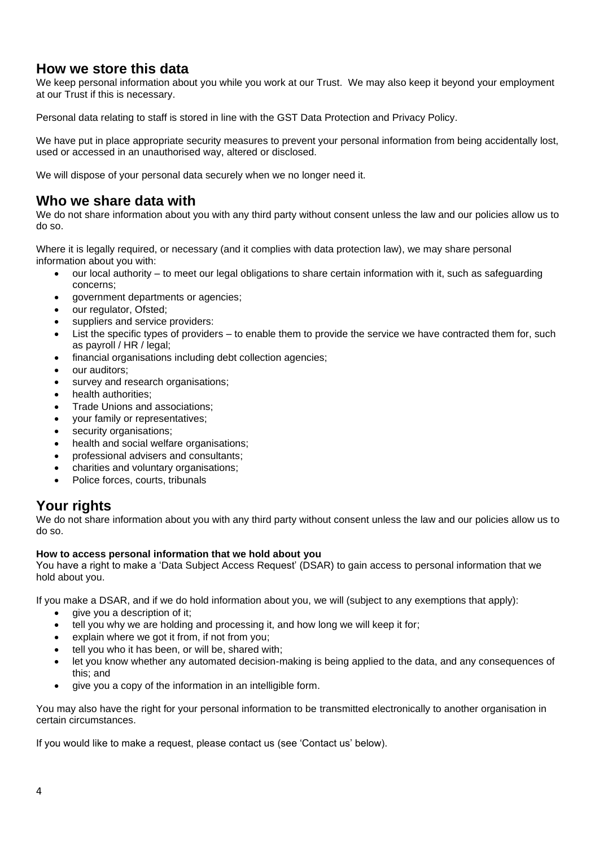## **How we store this data**

We keep personal information about you while you work at our Trust. We may also keep it beyond your employment at our Trust if this is necessary.

Personal data relating to staff is stored in line with the GST Data Protection and Privacy Policy.

We have put in place appropriate security measures to prevent your personal information from being accidentally lost, used or accessed in an unauthorised way, altered or disclosed.

We will dispose of your personal data securely when we no longer need it.

# **Who we share data with**

We do not share information about you with any third party without consent unless the law and our policies allow us to do so.

Where it is legally required, or necessary (and it complies with data protection law), we may share personal information about you with:

- our local authority to meet our legal obligations to share certain information with it, such as safeguarding concerns;
- government departments or agencies;
- our regulator, Ofsted;
- suppliers and service providers:
- List the specific types of providers to enable them to provide the service we have contracted them for, such as payroll / HR / legal;
- financial organisations including debt collection agencies;
- our auditors:
- survey and research organisations:
- health authorities;
- Trade Unions and associations;
- your family or representatives;
- security organisations:
- health and social welfare organisations;
- professional advisers and consultants;
- charities and voluntary organisations;
- Police forces, courts, tribunals

# **Your rights**

We do not share information about you with any third party without consent unless the law and our policies allow us to do so.

#### **How to access personal information that we hold about you**

You have a right to make a 'Data Subject Access Request' (DSAR) to gain access to personal information that we hold about you.

If you make a DSAR, and if we do hold information about you, we will (subject to any exemptions that apply):

- give you a description of it:
- tell you why we are holding and processing it, and how long we will keep it for;
- explain where we got it from, if not from you;
- tell you who it has been, or will be, shared with:
- let you know whether any automated decision-making is being applied to the data, and any consequences of this; and
- give you a copy of the information in an intelligible form.

You may also have the right for your personal information to be transmitted electronically to another organisation in certain circumstances.

If you would like to make a request, please contact us (see 'Contact us' below).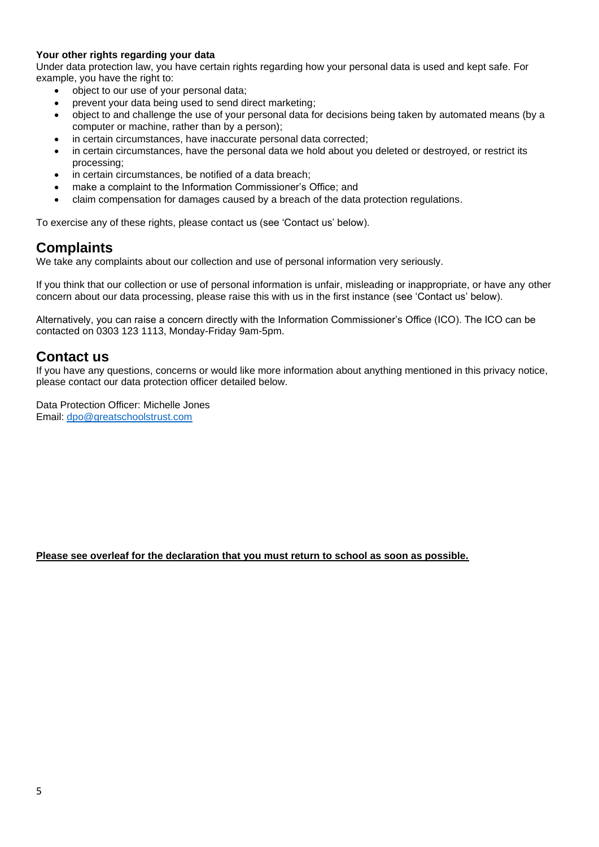#### **Your other rights regarding your data**

Under data protection law, you have certain rights regarding how your personal data is used and kept safe. For example, you have the right to:

- object to our use of your personal data;
- prevent your data being used to send direct marketing;
- object to and challenge the use of your personal data for decisions being taken by automated means (by a computer or machine, rather than by a person);
- in certain circumstances, have inaccurate personal data corrected;
- in certain circumstances, have the personal data we hold about you deleted or destroyed, or restrict its processing;
- in certain circumstances, be notified of a data breach:
- make a complaint to the Information Commissioner's Office; and
- claim compensation for damages caused by a breach of the data protection regulations.

To exercise any of these rights, please contact us (see 'Contact us' below).

## **Complaints**

We take any complaints about our collection and use of personal information very seriously.

If you think that our collection or use of personal information is unfair, misleading or inappropriate, or have any other concern about our data processing, please raise this with us in the first instance (see 'Contact us' below).

Alternatively, you can raise a concern directly with the Information Commissioner's Office (ICO). The ICO can be contacted on 0303 123 1113, Monday-Friday 9am-5pm.

## **Contact us**

If you have any questions, concerns or would like more information about anything mentioned in this privacy notice, please contact our data protection officer detailed below.

Data Protection Officer: Michelle Jones Email: [dpo@greatschoolstrust.com](mailto:dpo@greatschoolstrust.com)

#### **Please see overleaf for the declaration that you must return to school as soon as possible.**